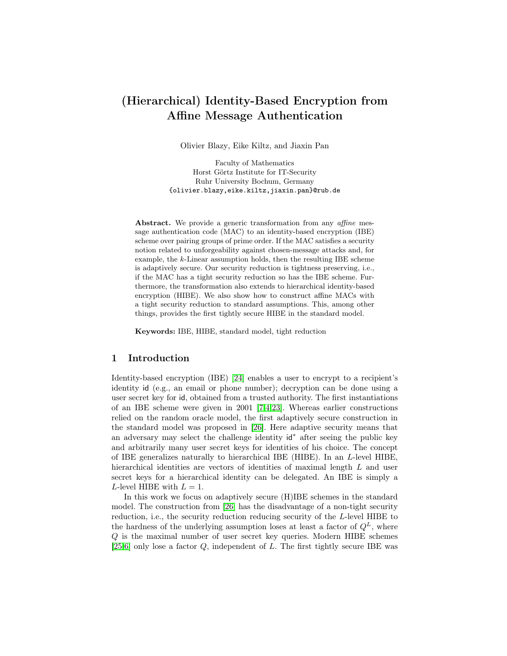# (Hierarchical) Identity-Based Encryption from Affine Message Authentication

Olivier Blazy, Eike Kiltz, and Jiaxin Pan

Faculty of Mathematics Horst Görtz Institute for IT-Security Ruhr University Bochum, Germany {olivier.blazy,eike.kiltz,jiaxin.pan}@rub.de

Abstract. We provide a generic transformation from any *affine* message authentication code (MAC) to an identity-based encryption (IBE) scheme over pairing groups of prime order. If the MAC satisfies a security notion related to unforgeability against chosen-message attacks and, for example, the k-Linear assumption holds, then the resulting IBE scheme is adaptively secure. Our security reduction is tightness preserving, i.e., if the MAC has a tight security reduction so has the IBE scheme. Furthermore, the transformation also extends to hierarchical identity-based encryption (HIBE). We also show how to construct affine MACs with a tight security reduction to standard assumptions. This, among other things, provides the first tightly secure HIBE in the standard model.

Keywords: IBE, HIBE, standard model, tight reduction

## 1 Introduction

Identity-based encryption (IBE) [\[24\]](#page-17-0) enables a user to encrypt to a recipient's identity id (e.g., an email or phone number); decryption can be done using a user secret key for id, obtained from a trusted authority. The first instantiations of an IBE scheme were given in 2001 [\[7,](#page-16-0)[4,](#page-16-1)[23\]](#page-17-1). Whereas earlier constructions relied on the random oracle model, the first adaptively secure construction in the standard model was proposed in [\[26\]](#page-17-2). Here adaptive security means that an adversary may select the challenge identity id<sup>∗</sup> after seeing the public key and arbitrarily many user secret keys for identities of his choice. The concept of IBE generalizes naturally to hierarchical IBE (HIBE). In an L-level HIBE, hierarchical identities are vectors of identities of maximal length L and user secret keys for a hierarchical identity can be delegated. An IBE is simply a L-level HIBE with  $L = 1$ .

In this work we focus on adaptively secure (H)IBE schemes in the standard model. The construction from [\[26\]](#page-17-2) has the disadvantage of a non-tight security reduction, i.e., the security reduction reducing security of the L-level HIBE to the hardness of the underlying assumption loses at least a factor of  $Q<sup>L</sup>$ , where Q is the maximal number of user secret key queries. Modern HIBE schemes [\[25](#page-17-3)[,6\]](#page-16-2) only lose a factor  $Q$ , independent of  $L$ . The first tightly secure IBE was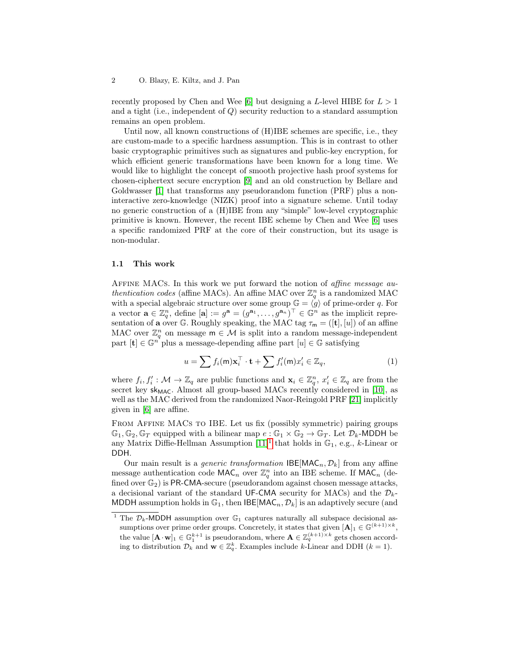recently proposed by Chen and Wee [\[6\]](#page-16-2) but designing a L-level HIBE for  $L > 1$ and a tight (i.e., independent of Q) security reduction to a standard assumption remains an open problem.

Until now, all known constructions of  $(H)$ IBE schemes are specific, i.e., they are custom-made to a specific hardness assumption. This is in contrast to other basic cryptographic primitives such as signatures and public-key encryption, for which efficient generic transformations have been known for a long time. We would like to highlight the concept of smooth projective hash proof systems for chosen-ciphertext secure encryption [\[9\]](#page-16-3) and an old construction by Bellare and Goldwasser [\[1\]](#page-16-4) that transforms any pseudorandom function (PRF) plus a noninteractive zero-knowledge (NIZK) proof into a signature scheme. Until today no generic construction of a (H)IBE from any "simple" low-level cryptographic primitive is known. However, the recent IBE scheme by Chen and Wee [\[6\]](#page-16-2) uses a specific randomized PRF at the core of their construction, but its usage is non-modular.

## 1.1 This work

Affine MACs. In this work we put forward the notion of affine message authentication codes (affine MACs). An affine MAC over  $\mathbb{Z}_q^n$  is a randomized MAC with a special algebraic structure over some group  $\mathbb{G} = \langle g \rangle$  of prime-order q. For a vector  $\mathbf{a} \in \mathbb{Z}_q^n$ , define  $[\mathbf{a}] := g^{\mathbf{a}} = (g^{\mathbf{a}_1}, \ldots, g^{\mathbf{a}_n})^\top \in \mathbb{G}^n$  as the implicit representation of **a** over G. Roughly speaking, the MAC tag  $\tau_m = ([t], [u])$  of an affine MAC over  $\mathbb{Z}_q^n$  on message  $\mathsf{m} \in \mathcal{M}$  is split into a random message-independent part  $[t] \in \mathbb{G}^n$  plus a message-depending affine part  $[u] \in \mathbb{G}$  satisfying

$$
u = \sum f_i(\mathsf{m}) \mathbf{x}_i^\top \cdot \mathbf{t} + \sum f'_i(\mathsf{m}) x'_i \in \mathbb{Z}_q,\tag{1}
$$

where  $f_i, f'_i: \mathcal{M} \to \mathbb{Z}_q$  are public functions and  $\mathbf{x}_i \in \mathbb{Z}_q^n$ ,  $x'_i \in \mathbb{Z}_q$  are from the secret key  $sk_{MAC}$ . Almost all group-based MACs recently considered in [\[10\]](#page-16-5), as well as the MAC derived from the randomized Naor-Reingold PRF [\[21\]](#page-17-4) implicitly given in [\[6\]](#page-16-2) are affine.

From Affine MACs to IBE. Let us fix (possibly symmetric) pairing groups  $\mathbb{G}_1, \mathbb{G}_2, \mathbb{G}_T$  equipped with a bilinear map  $e : \mathbb{G}_1 \times \mathbb{G}_2 \to \mathbb{G}_T$ . Let  $\mathcal{D}_k$ -MDDH be any Matrix Diffie-Hellman Assumption  $[11]^1$  $[11]^1$  $[11]^1$  that holds in  $\mathbb{G}_1$ , e.g., k-Linear or DDH.

Our main result is a *generic transformation*  $\text{B}\text{E}[\text{MAC}_n, \mathcal{D}_k]$  from any affine message authentication code  $\mathsf{MAC}_n$  over  $\mathbb{Z}_q^n$  into an IBE scheme. If  $\mathsf{MAC}_n$  (defined over  $\mathbb{G}_2$ ) is PR-CMA-secure (pseudorandom against chosen message attacks, a decisional variant of the standard UF-CMA security for MACs) and the  $\mathcal{D}_k$ -MDDH assumption holds in  $\mathbb{G}_1$ , then IBE[MAC<sub>n</sub>,  $\mathcal{D}_k$ ] is an adaptively secure (and

<span id="page-1-0"></span><sup>&</sup>lt;sup>1</sup> The  $\mathcal{D}_k$ -MDDH assumption over  $\mathbb{G}_1$  captures naturally all subspace decisional assumptions over prime order groups. Concretely, it states that given  $[A]_1 \in \mathbb{G}^{(k+1)\times k}$ , the value  $[\mathbf{A} \cdot \mathbf{w}]_1 \in \mathbb{G}_1^{k+1}$  is pseudorandom, where  $\mathbf{A} \in \mathbb{Z}_q^{(k+1) \times k}$  gets chosen according to distribution  $\mathcal{D}_k$  and  $\mathbf{w} \in \mathbb{Z}_q^k$ . Examples include k-Linear and DDH  $(k = 1)$ .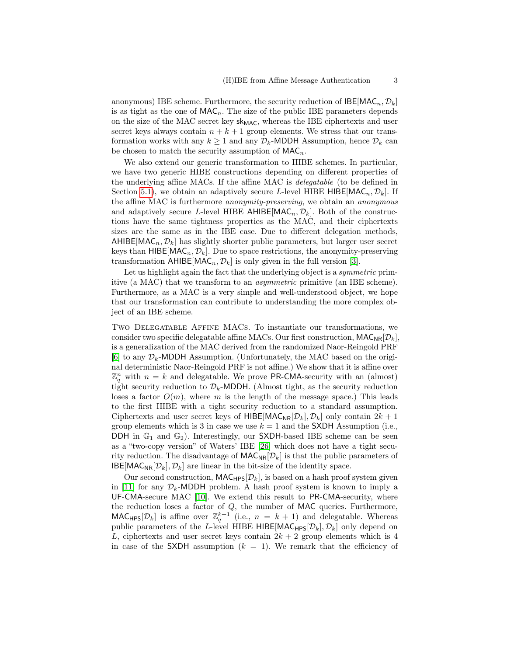anonymous) IBE scheme. Furthermore, the security reduction of  $\text{BEE}[\text{MAC}_n, \mathcal{D}_k]$ is as tight as the one of  $\mathsf{MAC}_n$ . The size of the public IBE parameters depends on the size of the MAC secret key  $sk_{MAC}$ , whereas the IBE ciphertexts and user secret keys always contain  $n + k + 1$  group elements. We stress that our transformation works with any  $k \geq 1$  and any  $\mathcal{D}_k$ -MDDH Assumption, hence  $\mathcal{D}_k$  can be chosen to match the security assumption of  $MAC<sub>n</sub>$ .

We also extend our generic transformation to HIBE schemes. In particular, we have two generic HIBE constructions depending on different properties of the underlying affine MACs. If the affine MAC is delegatable (to be defined in Section [5.1\)](#page-12-0), we obtain an adaptively secure L-level HIBE HIBE[MAC<sub>n</sub>,  $\mathcal{D}_k$ ]. If the affine MAC is furthermore anonymity-preserving, we obtain an anonymous and adaptively secure L-level HIBE AHIBE[MAC<sub>n</sub>,  $\mathcal{D}_k$ ]. Both of the constructions have the same tightness properties as the MAC, and their ciphertexts sizes are the same as in the IBE case. Due to different delegation methods, AHIBE[MAC<sub>n</sub>,  $\mathcal{D}_k$ ] has slightly shorter public parameters, but larger user secret keys than  $HIBE[MAC_n, \mathcal{D}_k]$ . Due to space restrictions, the anonymity-preserving transformation  $AHIBE[MAC_n, \mathcal{D}_k]$  is only given in the full version [\[3\]](#page-16-7).

Let us highlight again the fact that the underlying object is a *symmetric* primitive (a MAC) that we transform to an asymmetric primitive (an IBE scheme). Furthermore, as a MAC is a very simple and well-understood object, we hope that our transformation can contribute to understanding the more complex object of an IBE scheme.

Two Delegatable Affine MACs. To instantiate our transformations, we consider two specific delegatable affine MACs. Our first construction,  $MAC_{NR}[\mathcal{D}_k]$ , is a generalization of the MAC derived from the randomized Naor-Reingold PRF [\[6\]](#page-16-2) to any  $\mathcal{D}_k$ -MDDH Assumption. (Unfortunately, the MAC based on the original deterministic Naor-Reingold PRF is not affine.) We show that it is affine over  $\mathbb{Z}_q^n$  with  $n = k$  and delegatable. We prove PR-CMA-security with an (almost) tight security reduction to  $\mathcal{D}_k$ -MDDH. (Almost tight, as the security reduction loses a factor  $O(m)$ , where m is the length of the message space.) This leads to the first HIBE with a tight security reduction to a standard assumption. Ciphertexts and user secret keys of HIBE[MAC<sub>NR</sub>[ $\mathcal{D}_k$ ],  $\mathcal{D}_k$ ] only contain  $2k + 1$ group elements which is 3 in case we use  $k = 1$  and the SXDH Assumption (i.e., DDH in  $\mathbb{G}_1$  and  $\mathbb{G}_2$ ). Interestingly, our SXDH-based IBE scheme can be seen as a "two-copy version" of Waters' IBE [\[26\]](#page-17-2) which does not have a tight security reduction. The disadvantage of  $MAC_{\text{NR}}[\mathcal{D}_k]$  is that the public parameters of  $\text{IBE}[MAC_{NR}[\mathcal{D}_k], \mathcal{D}_k]$  are linear in the bit-size of the identity space.

Our second construction,  $\text{MAC}_{\text{HPS}}[\mathcal{D}_k]$ , is based on a hash proof system given in [\[11\]](#page-16-6) for any  $\mathcal{D}_k$ -MDDH problem. A hash proof system is known to imply a UF-CMA-secure MAC [\[10\]](#page-16-5). We extend this result to PR-CMA-security, where the reduction loses a factor of  $Q$ , the number of MAC queries. Furthermore, MAC<sub>HPS</sub>[ $\mathcal{D}_k$ ] is affine over  $\mathbb{Z}_q^{k+1}$  (i.e.,  $n = k + 1$ ) and delegatable. Whereas public parameters of the L-level HIBE HIBE[MAC<sub>HPS</sub>[ $\mathcal{D}_k$ ],  $\mathcal{D}_k$ ] only depend on L, ciphertexts and user secret keys contain  $2k + 2$  group elements which is 4 in case of the SXDH assumption  $(k = 1)$ . We remark that the efficiency of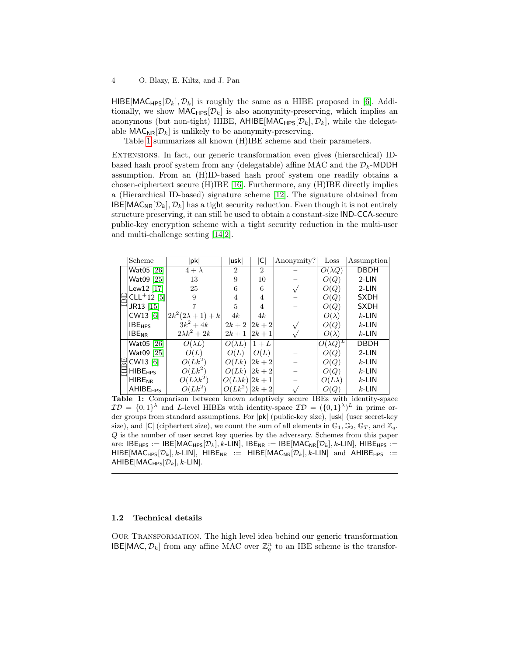HIBE[MAC<sub>HPS</sub> $[\mathcal{D}_k], \mathcal{D}_k]$  is roughly the same as a HIBE proposed in [\[6\]](#page-16-2). Additionally, we show  $\text{MAC}_{\text{HPS}}[\mathcal{D}_k]$  is also anonymity-preserving, which implies an anonymous (but non-tight) HIBE, AHIBE[MAC<sub>HPS</sub> $[\mathcal{D}_k], \mathcal{D}_k$ ], while the delegatable  $\mathsf{MAC}_{\mathsf{NR}}[\mathcal{D}_k]$  is unlikely to be anonymity-preserving.

Table [1](#page-3-0) summarizes all known (H)IBE scheme and their parameters.

Extensions. In fact, our generic transformation even gives (hierarchical) IDbased hash proof system from any (delegatable) affine MAC and the  $\mathcal{D}_k$ -MDDH assumption. From an (H)ID-based hash proof system one readily obtains a chosen-ciphertext secure (H)IBE [\[16\]](#page-17-5). Furthermore, any (H)IBE directly implies a (Hierarchical ID-based) signature scheme [\[12\]](#page-16-8). The signature obtained from  $\text{IBE}[\text{MAC}_{\text{NR}}[\mathcal{D}_k], \mathcal{D}_k]$  has a tight security reduction. Even though it is not entirely structure preserving, it can still be used to obtain a constant-size IND-CCA-secure public-key encryption scheme with a tight security reduction in the multi-user and multi-challenge setting [\[14,](#page-17-6)[2\]](#page-16-9).

<span id="page-3-0"></span>

|  | Scheme                                                    | pk                         | uskl                   | C              | Anonymity? | Loss             | Assumption  |
|--|-----------------------------------------------------------|----------------------------|------------------------|----------------|------------|------------------|-------------|
|  | Wat05 [26]                                                | $4 + \lambda$              | $\overline{2}$         | $\overline{2}$ |            | $O(\lambda Q)$   | <b>DBDH</b> |
|  | Wat09 [25]                                                | 13                         | 9                      | 10             |            | O(Q)             | $2-LIN$     |
|  | Lew12 $[17]$                                              | 25                         | 6                      | 6              |            | O(Q)             | $2-LIN$     |
|  | $\frac{2}{12}$ CLL <sup>+</sup> 12 <sup>[5]</sup>         | 9                          | 4                      | 4              |            | O(Q)             | <b>SXDH</b> |
|  | JR13 [15]                                                 |                            | 5                      | 4              |            | O(Q)             | <b>SXDH</b> |
|  | CW13 [6]                                                  | $ 2k^2(2\lambda + 1) + k $ | 4k                     | 4k             |            | $O(\lambda)$     | $k$ -LIN    |
|  | <b>IBE<sub>HPS</sub></b>                                  | $3k^2 + 4k$                | $2k+2$                 | $ 2k+2 $       |            | O(Q)             | $k$ -LIN    |
|  | <b>IBE<sub>NR</sub></b>                                   | $2\lambda k^2 + 2k$        | $2k+1$                 | $2k + 1$       |            | $O(\lambda)$     | $k$ -LIN    |
|  | Wat05 [26]                                                | $O(\lambda L)$             | $O(\lambda L)$         | $1+L$          |            | $O(\lambda Q)^L$ | <b>DBDH</b> |
|  | Wat09 [25]                                                | O(L)                       | O(L)                   | O(L)           |            | O(Q)             | $2-LIN$     |
|  | $\mathbb{H}$ CW13 [6]<br>$\mathbb{H}$ HIBE <sub>HPS</sub> | $O(Lk^2)$                  | O(Lk)                  | $2k + 2$       |            | O(Q)             | $k$ -LIN    |
|  |                                                           | $O(Lk^2)$                  | O(Lk)                  | $2k + 2$       |            | O(Q)             | $k$ -LIN    |
|  | <b>HIBE<sub>NR</sub></b>                                  | $O(L\lambda k^2)$          | $O(L\lambda k)  2k+1 $ |                |            | $O(L\lambda)$    | $k$ -LIN    |
|  | <b>AHIBE<sub>HPS</sub></b>                                | $O(Lk^2)$                  | $O(Lk^2)  2k+2 $       |                |            | O(Q)             | $k$ -LIN    |

Table 1: Comparison between known adaptively secure IBEs with identity-space  $\mathcal{ID} = \{0,1\}^{\lambda}$  and L-level HIBEs with identity-space  $\mathcal{ID} = (\{0,1\}^{\lambda})^L$  in prime order groups from standard assumptions. For |pk| (public-key size), |usk| (user secret-key size), and  $|C|$  (ciphertext size), we count the sum of all elements in  $\mathbb{G}_1$ ,  $\mathbb{G}_2$ ,  $\mathbb{G}_T$ , and  $\mathbb{Z}_q$ . Q is the number of user secret key queries by the adversary. Schemes from this paper are: IBE<sub>HPS</sub> := IBE[MAC<sub>HPS</sub>[ $\mathcal{D}_k$ ], k-LIN], IBE<sub>NR</sub> := IBE[MAC<sub>NR</sub>[ $\mathcal{D}_k$ ], k-LIN], HIBE<sub>HPS</sub> := HIBE[MAC<sub>HPS</sub>[ $\mathcal{D}_k$ ], k-LIN], HIBE<sub>NR</sub> := HIBE[MAC<sub>NR</sub>[ $\mathcal{D}_k$ ], k-LIN] and AHIBE<sub>HPS</sub> := AHIBE[MAC<sub>HPS</sub> $[\mathcal{D}_k]$ , k-LIN].

## 1.2 Technical details

Our Transformation. The high level idea behind our generic transformation  $\text{IBE}[MAC, \mathcal{D}_k]$  from any affine MAC over  $\mathbb{Z}_q^n$  to an IBE scheme is the transfor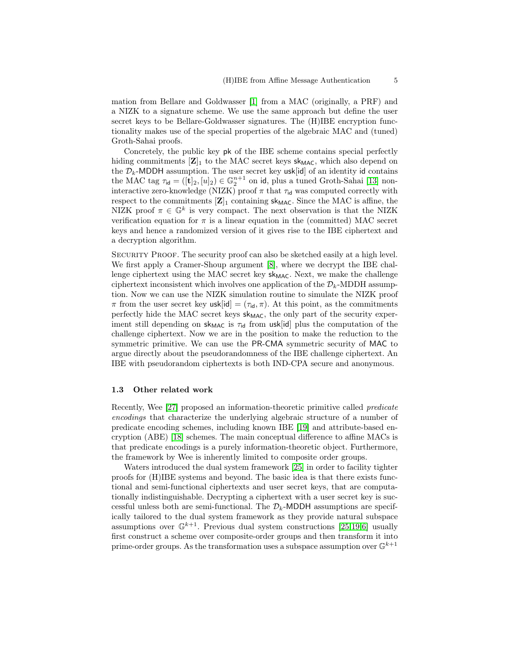mation from Bellare and Goldwasser [\[1\]](#page-16-4) from a MAC (originally, a PRF) and a NIZK to a signature scheme. We use the same approach but define the user secret keys to be Bellare-Goldwasser signatures. The (H)IBE encryption functionality makes use of the special properties of the algebraic MAC and (tuned) Groth-Sahai proofs.

Concretely, the public key pk of the IBE scheme contains special perfectly hiding commitments  $[\mathbf{Z}]_1$  to the MAC secret keys sk<sub>MAC</sub>, which also depend on the  $\mathcal{D}_k$ -MDDH assumption. The user secret key usk[id] of an identity id contains the MAC tag  $\tau_{\text{id}} = ([\mathbf{t}]_2, [u]_2) \in \mathbb{G}_2^{n+1}$  on id, plus a tuned Groth-Sahai [\[13\]](#page-17-9) noninteractive zero-knowledge (NIZK) proof  $\pi$  that  $\tau_{\text{id}}$  was computed correctly with respect to the commitments  $[\mathbf{Z}]_1$  containing sk<sub>MAC</sub>. Since the MAC is affine, the NIZK proof  $\pi \in \mathbb{G}^k$  is very compact. The next observation is that the NIZK verification equation for  $\pi$  is a linear equation in the (committed) MAC secret keys and hence a randomized version of it gives rise to the IBE ciphertext and a decryption algorithm.

SECURITY PROOF. The security proof can also be sketched easily at a high level. We first apply a Cramer-Shoup argument [\[8\]](#page-16-11), where we decrypt the IBE challenge ciphertext using the MAC secret key  $sk_{MAC}$ . Next, we make the challenge ciphertext inconsistent which involves one application of the  $\mathcal{D}_k$ -MDDH assumption. Now we can use the NIZK simulation routine to simulate the NIZK proof  $\pi$  from the user secret key usk[id] =  $(\tau_{id}, \pi)$ . At this point, as the commitments perfectly hide the MAC secret keys  $sk_{MAC}$ , the only part of the security experiment still depending on sk<sub>MAC</sub> is  $\tau_{\text{id}}$  from usk[id] plus the computation of the challenge ciphertext. Now we are in the position to make the reduction to the symmetric primitive. We can use the PR-CMA symmetric security of MAC to argue directly about the pseudorandomness of the IBE challenge ciphertext. An IBE with pseudorandom ciphertexts is both IND-CPA secure and anonymous.

#### 1.3 Other related work

Recently, Wee [\[27\]](#page-17-10) proposed an information-theoretic primitive called predicate encodings that characterize the underlying algebraic structure of a number of predicate encoding schemes, including known IBE [\[19\]](#page-17-11) and attribute-based encryption (ABE) [\[18\]](#page-17-12) schemes. The main conceptual difference to affine MACs is that predicate encodings is a purely information-theoretic object. Furthermore, the framework by Wee is inherently limited to composite order groups.

Waters introduced the dual system framework [\[25\]](#page-17-3) in order to facility tighter proofs for (H)IBE systems and beyond. The basic idea is that there exists functional and semi-functional ciphertexts and user secret keys, that are computationally indistinguishable. Decrypting a ciphertext with a user secret key is successful unless both are semi-functional. The  $\mathcal{D}_k$ -MDDH assumptions are specifically tailored to the dual system framework as they provide natural subspace assumptions over  $\mathbb{G}^{k+1}$ . Previous dual system constructions [\[25,](#page-17-3)[19](#page-17-11)[,6\]](#page-16-2) usually first construct a scheme over composite-order groups and then transform it into prime-order groups. As the transformation uses a subspace assumption over  $\mathbb{G}^{k+1}$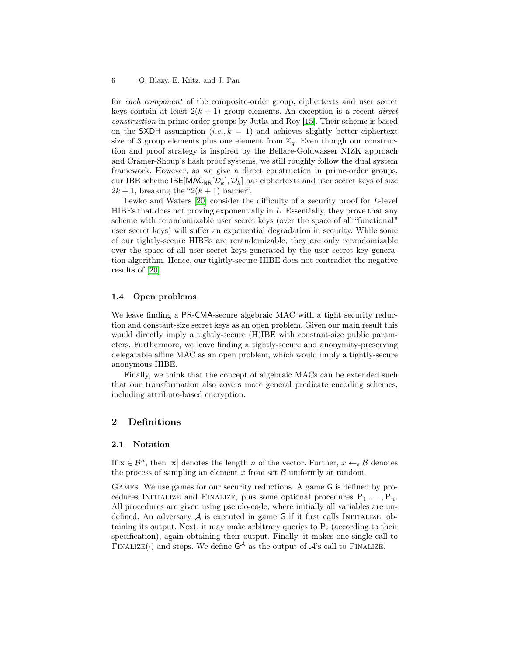for each component of the composite-order group, ciphertexts and user secret keys contain at least  $2(k + 1)$  group elements. An exception is a recent *direct* construction in prime-order groups by Jutla and Roy [\[15\]](#page-17-8). Their scheme is based on the SXDH assumption  $(i.e., k = 1)$  and achieves slightly better ciphertext size of 3 group elements plus one element from  $\mathbb{Z}_q$ . Even though our construction and proof strategy is inspired by the Bellare-Goldwasser NIZK approach and Cramer-Shoup's hash proof systems, we still roughly follow the dual system framework. However, as we give a direct construction in prime-order groups, our IBE scheme IBE[MAC<sub>NR</sub>[ $\mathcal{D}_k$ ],  $\mathcal{D}_k$ ] has ciphertexts and user secret keys of size  $2k + 1$ , breaking the " $2(k + 1)$  barrier".

Lewko and Waters [\[20\]](#page-17-13) consider the difficulty of a security proof for L-level HIBEs that does not proving exponentially in L. Essentially, they prove that any scheme with rerandomizable user secret keys (over the space of all "functional" user secret keys) will suffer an exponential degradation in security. While some of our tightly-secure HIBEs are rerandomizable, they are only rerandomizable over the space of all user secret keys generated by the user secret key generation algorithm. Hence, our tightly-secure HIBE does not contradict the negative results of [\[20\]](#page-17-13).

#### 1.4 Open problems

We leave finding a PR-CMA-secure algebraic MAC with a tight security reduction and constant-size secret keys as an open problem. Given our main result this would directly imply a tightly-secure (H)IBE with constant-size public parameters. Furthermore, we leave finding a tightly-secure and anonymity-preserving delegatable affine MAC as an open problem, which would imply a tightly-secure anonymous HIBE.

Finally, we think that the concept of algebraic MACs can be extended such that our transformation also covers more general predicate encoding schemes, including attribute-based encryption.

# 2 Definitions

#### 2.1 Notation

If  $\mathbf{x} \in \mathcal{B}^n$ , then  $|\mathbf{x}|$  denotes the length n of the vector. Further,  $x \leftarrow_s \mathcal{B}$  denotes the process of sampling an element  $x$  from set  $\beta$  uniformly at random.

Games. We use games for our security reductions. A game G is defined by procedures INITIALIZE and FINALIZE, plus some optional procedures  $P_1, \ldots, P_n$ . All procedures are given using pseudo-code, where initially all variables are undefined. An adversary  $A$  is executed in game G if it first calls INITIALIZE, obtaining its output. Next, it may make arbitrary queries to  $P_i$  (according to their specification), again obtaining their output. Finally, it makes one single call to FINALIZE( $\cdot$ ) and stops. We define  $\mathsf{G}^{\mathcal{A}}$  as the output of  $\mathcal{A}$ 's call to FINALIZE.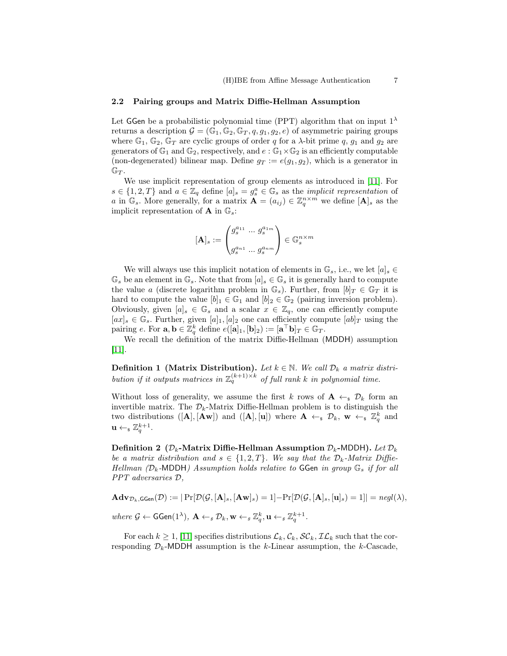## 2.2 Pairing groups and Matrix Diffie-Hellman Assumption

Let GGen be a probabilistic polynomial time (PPT) algorithm that on input  $1^{\lambda}$ returns a description  $\mathcal{G} = (\mathbb{G}_1, \mathbb{G}_2, \mathbb{G}_T, q, q_1, q_2, e)$  of asymmetric pairing groups where  $\mathbb{G}_1$ ,  $\mathbb{G}_2$ ,  $\mathbb{G}_T$  are cyclic groups of order q for a  $\lambda$ -bit prime q,  $g_1$  and  $g_2$  are generators of  $\mathbb{G}_1$  and  $\mathbb{G}_2$ , respectively, and  $e : \mathbb{G}_1 \times \mathbb{G}_2$  is an efficiently computable (non-degenerated) bilinear map. Define  $g_T := e(g_1, g_2)$ , which is a generator in  $\mathbb{G}_T$ .

We use implicit representation of group elements as introduced in [\[11\]](#page-16-6). For  $s \in \{1,2,T\}$  and  $a \in \mathbb{Z}_q$  define  $[a]_s = g_s^a \in \mathbb{G}_s$  as the *implicit representation* of a in  $\mathbb{G}_s$ . More generally, for a matrix  $\mathbf{A} = (a_{ij}) \in \mathbb{Z}_q^{n \times m}$  we define  $[\mathbf{A}]_s$  as the implicit representation of **A** in  $\mathbb{G}_s$ :

$$
[\mathbf{A}]_s := \begin{pmatrix} g_s^{a_{11}} & \cdots & g_s^{a_{1m}} \\ \vdots & \ddots & \vdots \\ g_s^{a_{n1}} & \cdots & g_s^{a_{nm}} \end{pmatrix} \in \mathbb{G}_s^{n \times m}
$$

We will always use this implicit notation of elements in  $\mathbb{G}_s$ , i.e., we let  $[a]_s \in$  $\mathbb{G}_s$  be an element in  $\mathbb{G}_s$ . Note that from  $[a]_s \in \mathbb{G}_s$  it is generally hard to compute the value a (discrete logarithm problem in  $\mathbb{G}_s$ ). Further, from  $[b]_T \in \mathbb{G}_T$  it is hard to compute the value  $[b]_1 \in \mathbb{G}_1$  and  $[b]_2 \in \mathbb{G}_2$  (pairing inversion problem). Obviously, given  $[a]_s \in \mathbb{G}_s$  and a scalar  $x \in \mathbb{Z}_q$ , one can efficiently compute  $[a\mathbf{x}]_s \in \mathbb{G}_s$ . Further, given  $[a]_1$ ,  $[a]_2$  one can efficiently compute  $[ab]_T$  using the pairing e. For  $\mathbf{a}, \mathbf{b} \in \mathbb{Z}_q^k$  define  $e([\mathbf{a}]_1, [\mathbf{b}]_2) := [\mathbf{a}^\top \mathbf{b}]_T \in \mathbb{G}_T$ .

We recall the definition of the matrix Diffie-Hellman (MDDH) assumption [\[11\]](#page-16-6).

**Definition 1** (Matrix Distribution). Let  $k \in \mathbb{N}$ . We call  $\mathcal{D}_k$  a matrix distribution if it outputs matrices in  $\mathbb{Z}_q^{(k+1)\times k}$  of full rank k in polynomial time.

Without loss of generality, we assume the first k rows of  $A \leftarrow s \mathcal{D}_k$  form an invertible matrix. The  $\mathcal{D}_k$ -Matrix Diffie-Hellman problem is to distinguish the two distributions  $([\mathbf{A}], [\mathbf{A}\mathbf{w}])$  and  $([\mathbf{A}], [\mathbf{u}])$  where  $\mathbf{A} \leftarrow_s \mathcal{D}_k$ ,  $\mathbf{w} \leftarrow_s \mathbb{Z}_q^k$  and  $\mathbf{u} \leftarrow_{\$} \mathbb{Z}_q^{k+1}.$ 

Definition 2 ( $\mathcal{D}_k$ -Matrix Diffie-Hellman Assumption  $\mathcal{D}_k$ -MDDH). Let  $\mathcal{D}_k$ be a matrix distribution and  $s \in \{1, 2, T\}$ . We say that the  $\mathcal{D}_k$ -Matrix Diffie-Hellman ( $\mathcal{D}_k$ -MDDH) Assumption holds relative to GGen in group  $\mathbb{G}_s$  if for all PPT adversaries D,

 $\mathbf{Adv}_{\mathcal{D}_k,\mathsf{GGen}}(\mathcal{D}) := |\Pr[\mathcal{D}(\mathcal{G},[\mathbf{A}]_s,[\mathbf{A}\mathbf{w}]_s) = 1] - \Pr[\mathcal{D}(\mathcal{G},[\mathbf{A}]_s,[\mathbf{u}]_s) = 1]| = negl(\lambda),$ where  $\mathcal{G} \leftarrow \mathsf{GGen}(1^{\lambda}), \ \mathbf{A} \leftarrow_s \mathcal{D}_k, \mathbf{w} \leftarrow_s \mathbb{Z}_q^k, \mathbf{u} \leftarrow_s \mathbb{Z}_q^{k+1}.$ 

For each  $k \geq 1$ , [\[11\]](#page-16-6) specifies distributions  $\mathcal{L}_k$ ,  $\mathcal{C}_k$ ,  $\mathcal{SC}_k$ ,  $\mathcal{IL}_k$  such that the corresponding  $\mathcal{D}_k$ -MDDH assumption is the k-Linear assumption, the k-Cascade,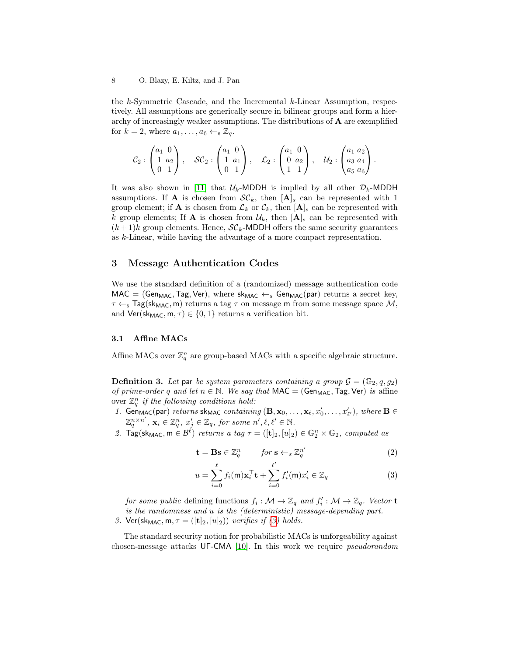the  $k$ -Symmetric Cascade, and the Incremental  $k$ -Linear Assumption, respectively. All assumptions are generically secure in bilinear groups and form a hierarchy of increasingly weaker assumptions. The distributions of A are exemplified for  $k = 2$ , where  $a_1, \ldots, a_6 \leftarrow_{\mathbb{F}} \mathbb{Z}_q$ .

$$
\mathcal{C}_2: \begin{pmatrix} a_1 & 0 \\ 1 & a_2 \\ 0 & 1 \end{pmatrix}, \quad \mathcal{SC}_2: \begin{pmatrix} a_1 & 0 \\ 1 & a_1 \\ 0 & 1 \end{pmatrix}, \quad \mathcal{L}_2: \begin{pmatrix} a_1 & 0 \\ 0 & a_2 \\ 1 & 1 \end{pmatrix}, \quad \mathcal{U}_2: \begin{pmatrix} a_1 & a_2 \\ a_3 & a_4 \\ a_5 & a_6 \end{pmatrix}.
$$

It was also shown in [\[11\]](#page-16-6) that  $U_k$ -MDDH is implied by all other  $\mathcal{D}_k$ -MDDH assumptions. If **A** is chosen from  $\mathcal{SC}_k$ , then  $[\mathbf{A}]_s$  can be represented with 1 group element; if **A** is chosen from  $\mathcal{L}_k$  or  $\mathcal{C}_k$ , then  $[\mathbf{A}]_s$  can be represented with k group elements; If **A** is chosen from  $\mathcal{U}_k$ , then  $[\mathbf{A}]_s$  can be represented with  $(k+1)$ k group elements. Hence,  $\mathcal{SC}_k$ -MDDH offers the same security guarantees as k-Linear, while having the advantage of a more compact representation.

## <span id="page-7-1"></span>3 Message Authentication Codes

We use the standard definition of a (randomized) message authentication code  $MAC = (Gen_{MAC}, Tag, Ver),$  where  $sk_{MAC} \leftarrow_s Gen_{MAC}(par)$  returns a secret key,  $\tau \leftarrow_{\rm s}$  Tag(sk<sub>MAC</sub>, m) returns a tag  $\tau$  on message m from some message space M, and  $Ver(\text{sk}_{MAC}, m, \tau) \in \{0, 1\}$  returns a verification bit.

## 3.1 Affine MACs

<span id="page-7-2"></span>Affine MACs over  $\mathbb{Z}_q^n$  are group-based MACs with a specific algebraic structure.

**Definition 3.** Let par be system parameters containing a group  $\mathcal{G} = (\mathbb{G}_2, q, g_2)$ of prime-order q and let  $n \in \mathbb{N}$ . We say that  $\mathsf{MAC} = (\mathsf{Gen}_{\mathsf{MAC}}, \mathsf{Tag}, \mathsf{Ver})$  is affine over  $\mathbb{Z}_q^n$  if the following conditions hold:

- 1. Gen<sub>MAC</sub>(par) returns sk<sub>MAC</sub> containing  $(\mathbf{B}, \mathbf{x}_0, \ldots, \mathbf{x}_\ell, x'_0, \ldots, x'_{\ell'})$ , where  $\mathbf{B} \in$  $\mathbb{Z}_q^{n \times n'}$ ,  $\mathbf{x}_i \in \mathbb{Z}_q^n$ ,  $x'_j \in \mathbb{Z}_q$ , for some  $n', \ell, \ell' \in \mathbb{N}$ .
- 2.  $\text{Tag}(\text{sk}_{\text{MAC}}, m \in \mathcal{B}^{\ell})$  returns a tag  $\tau = ([t]_2, [u]_2) \in \mathbb{G}_2^n \times \mathbb{G}_2$ , computed as

<span id="page-7-0"></span>
$$
\mathbf{t} = \mathbf{B}\mathbf{s} \in \mathbb{Z}_q^n \qquad \text{for } \mathbf{s} \leftarrow_s \mathbb{Z}_q^{n'} \tag{2}
$$

$$
u = \sum_{i=0}^{\ell} f_i(\mathsf{m}) \mathbf{x}_i^{\top} \mathbf{t} + \sum_{i=0}^{\ell'} f'_i(\mathsf{m}) x'_i \in \mathbb{Z}_q
$$
 (3)

for some public defining functions  $f_i: \mathcal{M} \to \mathbb{Z}_q$  and  $f'_i: \mathcal{M} \to \mathbb{Z}_q$ . Vector **t** is the randomness and u is the (deterministic) message-depending part. 3. Ver(sk<sub>MAC</sub>,  $m, \tau = ([t]_2, [u]_2)$ ) verifies if [\(3\)](#page-7-0) holds.

The standard security notion for probabilistic MACs is unforgeability against chosen-message attacks UF-CMA [\[10\]](#page-16-5). In this work we require pseudorandom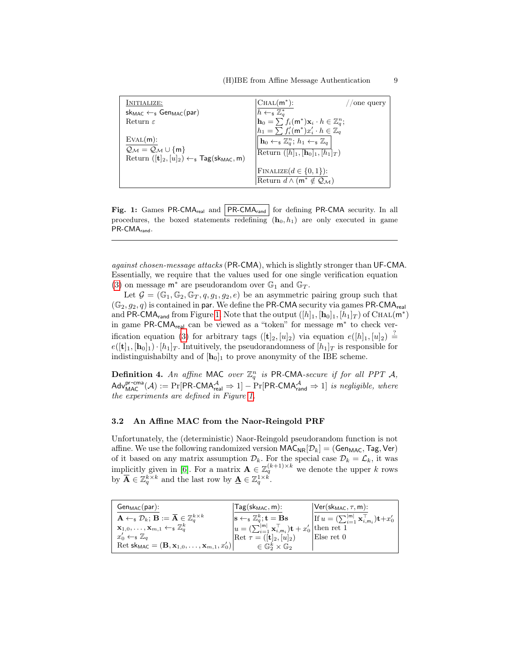<span id="page-8-0"></span>

| INITIALIZE:                                                                | $ CHAL(m^*)$ :<br>one query                                                      |
|----------------------------------------------------------------------------|----------------------------------------------------------------------------------|
| $sk_{MAC} \leftarrow s$ Gen <sub>MAC</sub> (par)                           | $h \leftarrow_s \mathbb{Z}_q^*$                                                  |
| Return $\varepsilon$                                                       | $\mathbf{h}_0 = \sum f_i(\mathsf{m}^*) \mathbf{x}_i \cdot h \in \mathbb{Z}_q^n;$ |
|                                                                            | $h_1 = \sum f'_i(\mathsf{m}^*)x'_i \cdot h \in \mathbb{Z}_q$                     |
| EVAL(m):                                                                   | $\ \mathbf{h}_0 \leftarrow \mathbb{Z}_q^n; h_1 \leftarrow \mathbb{Z}_q\ $        |
| $Q_{\mathcal{M}} = Q_{\mathcal{M}} \cup \{m\}$                             | Return $([h]_1, [h_0]_1, [h_1]_T)$                                               |
| Return $([t]_2, [u]_2) \leftarrow_s \text{Tag}(\text{sk}_{\text{MAC}}, m)$ |                                                                                  |
|                                                                            | FINALIZE $(d \in \{0, 1\})$ :                                                    |
|                                                                            | Return $d \wedge (m^* \notin \mathcal{Q}_M)$                                     |

Fig. 1: Games PR-CMA<sub>real</sub> and  $|PR\text{-CMA}_{rand}|$  for defining PR-CMA security. In all procedures, the boxed statements redefining  $(h_0, h_1)$  are only executed in game PR-CMA<sub>rand</sub>.

against chosen-message attacks (PR-CMA), which is slightly stronger than UF-CMA. Essentially, we require that the values used for one single verification equation [\(3\)](#page-7-0) on message  $\mathsf{m}^*$  are pseudorandom over  $\mathbb{G}_1$  and  $\mathbb{G}_T$ .

Let  $\mathcal{G} = (\mathbb{G}_1, \mathbb{G}_2, \mathbb{G}_T, q, g_1, g_2, e)$  be an asymmetric pairing group such that  $(\mathbb{G}_2, g_2, q)$  is contained in par. We define the PR-CMA security via games PR-CMA<sub>real</sub> and PR-CMA<sub>rand</sub> from Figure [1.](#page-8-0) Note that the output  $([h]_1, [\mathbf{h}_0]_1, [h_1]_T)$  of CHAL $(\mathsf{m}^*)$ in game PR-CMA<sub>real</sub> can be viewed as a "token" for message m<sup>∗</sup> to check ver-ification equation [\(3\)](#page-7-0) for arbitrary tags  $([t]_2,[u]_2)$  via equation  $e([h]_1,[u]_2) \stackrel{?}{=}$  $e([t]_1, [h_0]_1) \cdot [h_1]_T$ . Intuitively, the pseudorandomness of  $[h_1]_T$  is responsible for indistinguishabilty and of  $[h_0]_1$  to prove anonymity of the IBE scheme.

**Definition 4.** An affine MAC over  $\mathbb{Z}_q^n$  is PR-CMA-secure if for all PPT A,  $\mathsf{Adv}_{\mathsf{MAC}}^{\mathsf{pr-cma}}(\mathcal{A}) := \Pr[\mathsf{PR\text{-}CMA}_{\mathsf{real}}^{\mathcal{A}} \Rightarrow 1] - \Pr[\mathsf{PR\text{-}CMA}_{\mathsf{rand}}^{\mathcal{A}} \Rightarrow 1] \text{ is negligible, where}$ the experiments are defined in Figure [1.](#page-8-0)

#### 3.2 An Affine MAC from the Naor-Reingold PRF

Unfortunately, the (deterministic) Naor-Reingold pseudorandom function is not affine. We use the following randomized version  $MAC_{NR}[\mathcal{D}_k] = (Gen_{MAC}, Tag, Ver)$ of it based on any matrix assumption  $\mathcal{D}_k$ . For the special case  $\mathcal{D}_k = \mathcal{L}_k$ , it was implicitly given in [\[6\]](#page-16-2). For a matrix  $\mathbf{A} \in \mathbb{Z}_q^{(k+1)\times k}$  we denote the upper k rows by  $\overline{\mathbf{A}} \in \mathbb{Z}_q^{k \times k}$  and the last row by  $\underline{\mathbf{A}} \in \mathbb{Z}_q^{1 \times k}$ .

| $Gen_{MAC}(par):$                                                                                              | $Tag(sk_{MAC}, m):$                                                                        | $ Ver(\textsf{sk}_{MAC}, \tau, m):$                                          |
|----------------------------------------------------------------------------------------------------------------|--------------------------------------------------------------------------------------------|------------------------------------------------------------------------------|
| $\mathbf{A} \leftarrow_\$ \mathcal{D}_k; \, \mathbf{B} := \mathbf{\overline{A}} \in \mathbb{Z}^{k \times k}_a$ | $\vert {\bf s} \leftarrow_{{\bf s}} \mathbb{Z}_{q}^{k}; {\bf t} = \textbf{Bs}$             | If $u = (\sum_{i=1}^{ m } \mathbf{x}_{i,m_i}^{\top})\mathbf{t}+x_0^{\prime}$ |
| $\mathbf{x}_{1,0},\ldots,\mathbf{x}_{m,1} \leftarrow_{\$} \mathbb{Z}_q^k$                                      | $u = \left(\sum_{i=1}^{ m } \mathbf{x}_{i,m_i}^{\top}\right) \mathbf{t} + x_0'$ then ret 1 |                                                                              |
| $x'_0 \leftarrow_s \mathbb{Z}_q$                                                                               | $\det \tau = ([{\bf t}]_2,[u]_2)$                                                          | Else ret 0                                                                   |
| Ret sk <sub>MAC</sub> = $(\mathbf{B}, \mathbf{x}_{1,0}, \ldots, \mathbf{x}_{m,1}, x_0')$                       | $\in \mathbb{G}_2^k \times \mathbb{G}_2$                                                   |                                                                              |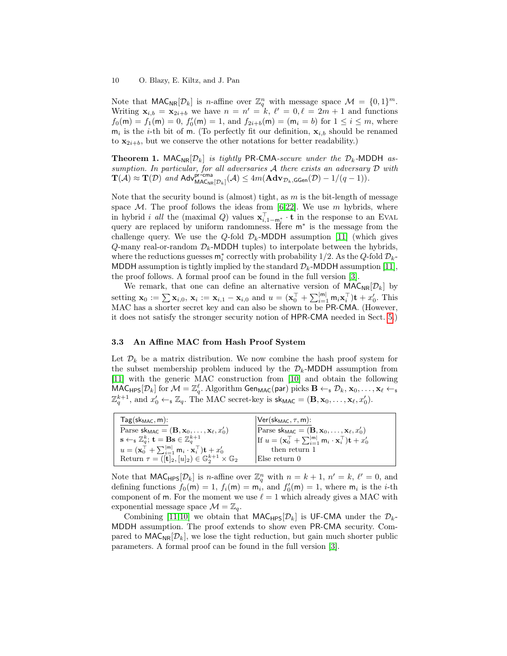Note that  $\text{MAC}_{\text{NR}}[\mathcal{D}_k]$  is *n*-affine over  $\mathbb{Z}_q^n$  with message space  $\mathcal{M} = \{0, 1\}^m$ . Writing  $\mathbf{x}_{i,b} = \mathbf{x}_{2i+b}$  we have  $n = n' = k$ ,  $\ell' = 0, \ell = 2m + 1$  and functions  $f_0(\mathsf{m}) = f_1(\mathsf{m}) = 0$ ,  $f'_0(\mathsf{m}) = 1$ , and  $f_{2i+b}(\mathsf{m}) = (\mathsf{m}_i = b)$  for  $1 \leq i \leq m$ , where  $m_i$  is the *i*-th bit of m. (To perfectly fit our definition,  $x_{i,b}$  should be renamed to  $x_{2i+b}$ , but we conserve the other notations for better readability.)

<span id="page-9-0"></span>**Theorem 1.** MAC<sub>NR</sub> $[\mathcal{D}_k]$  is tightly PR-CMA-secure under the  $\mathcal{D}_k$ -MDDH assumption. In particular, for all adversaries A there exists an adversary  $D$  with  $\mathbf{T}(\mathcal{A}) \approx \mathbf{T}(\mathcal{D})$  and  $\mathsf{Adv}_{\mathsf{MAC}_{\mathsf{NR}}[\mathcal{D}_k]}^{\mathsf{D}^{\mathsf{P}}-\mathsf{cma}}(\mathcal{A}) \leq 4m(\mathbf{Adv}_{\mathcal{D}_k,\mathsf{GGen}}(\mathcal{D}) - 1/(q-1)).$ 

Note that the security bound is (almost) tight, as  $m$  is the bit-length of message space M. The proof follows the ideas from  $(6,22]$  $(6,22]$ . We use m hybrids, where in hybrid *i all* the (maximal Q) values  $\mathbf{x}_{i,1-m_i}^{\top} \cdot \mathbf{t}$  in the response to an EVAL query are replaced by uniform randomness. Here  $m^*$  is the message from the challenge query. We use the Q-fold  $\mathcal{D}_k$ -MDDH assumption [\[11\]](#page-16-6) (which gives  $Q$ -many real-or-random  $\mathcal{D}_k$ -MDDH tuples) to interpolate between the hybrids, where the reductions guesses  $\mathsf{m}_i^*$  correctly with probability 1/2. As the Q-fold  $\mathcal{D}_k$ -MDDH assumption is tightly implied by the standard  $\mathcal{D}_k$ -MDDH assumption [\[11\]](#page-16-6), the proof follows. A formal proof can be found in the full version [\[3\]](#page-16-7).

We remark, that one can define an alternative version of  $\mathsf{MAC}_{\mathsf{NR}}[\mathcal{D}_k]$  by setting  $\mathbf{x}_0 := \sum \mathbf{x}_{i,0}, \ \mathbf{x}_i := \mathbf{x}_{i,1} - \mathbf{x}_{i,0} \text{ and } u = (\mathbf{x}_0^{\top} + \sum_{i=1}^{|\mathsf{m}|} \mathsf{m}_i \mathbf{x}_i^{\top}) \mathbf{t} + x_0'.$  This MAC has a shorter secret key and can also be shown to be PR-CMA. (However, it does not satisfy the stronger security notion of HPR-CMA needed in Sect. [5.](#page-12-1))

## 3.3 An Affine MAC from Hash Proof System

Let  $\mathcal{D}_k$  be a matrix distribution. We now combine the hash proof system for the subset membership problem induced by the  $\mathcal{D}_k$ -MDDH assumption from [\[11\]](#page-16-6) with the generic MAC construction from [\[10\]](#page-16-5) and obtain the following  $\widehat{\mathsf{MAC}}_\mathsf{HPS}[\mathcal{D}_k] \text{ for } \mathcal{M} = \mathbb{Z}_q^\ell. \text{ Algorithm } \mathsf{Gen}_{\mathsf{MAC}}(\mathsf{par}) \text{ picks } \mathbf{B} \leftarrow_{\mathrm{s}} \mathcal{D}_k, \mathbf{x}_0, \ldots, \mathbf{x}_\ell \leftarrow_{\mathrm{s}}$  $\mathbb{Z}_q^{k+1}$ , and  $x'_0 \leftarrow_s \mathbb{Z}_q$ . The MAC secret-key is  $\mathsf{sk}_{\mathsf{MAC}} = (\mathbf{B}, \mathbf{x}_0, \dots, \mathbf{x}_\ell, x'_0)$ .

| $Tag(sk_{MAC}, m):$                                                                                      | $ {\sf Ver}({\sf sk}_{\sf MAC},\tau,{\sf m})\!\!:$                                                        |
|----------------------------------------------------------------------------------------------------------|-----------------------------------------------------------------------------------------------------------|
| Parse $\mathsf{sk}_{\mathsf{MAC}} = (\mathbf{B}, \mathbf{x}_0, \dots, \mathbf{x}_{\ell}, x_0')$          | Parse $\mathsf{sk}_{\mathsf{MAC}} = (\mathbf{B}, \mathbf{x}_0, \dots, \mathbf{x}_{\ell}, x_0')$           |
| $\mathbf{s} \leftarrow_{\$} \mathbb{Z}_a^k$ ; $\mathbf{t} = \mathbf{B}\mathbf{s} \in \mathbb{Z}_a^{k+1}$ | If $u = (\mathbf{x}_0^{\top} + \sum_{i=1}^{ m } m_i \cdot \mathbf{x}_i^{\top}) \mathbf{t} + x_0^{\prime}$ |
| $u = (\mathbf{x}_0^{\top} + \sum_{i=1}^{ m } m_i \cdot \mathbf{x}_i^{\top}) \mathbf{t} + x_0^{\prime}$   | then return 1                                                                                             |
| Return $\tau = ( \mathbf{t} _2,  u _2) \in \mathbb{G}_2^{k+1} \times \mathbb{G}_2$                       | Else return 0                                                                                             |

Note that  $\text{MAC}_{\text{HPS}}[\mathcal{D}_k]$  is *n*-affine over  $\mathbb{Z}_q^n$  with  $n = k + 1$ ,  $n' = k$ ,  $\ell' = 0$ , and defining functions  $f_0(m) = 1$ ,  $f_i(m) = m_i$ , and  $f'_0(m) = 1$ , where  $m_i$  is the *i*-th component of m. For the moment we use  $\ell = 1$  which already gives a MAC with exponential message space  $\mathcal{M} = \mathbb{Z}_q$ .

Combining [\[11](#page-16-6)[,10\]](#page-16-5) we obtain that  $MAC_{HPS}[\mathcal{D}_k]$  is UF-CMA under the  $\mathcal{D}_k$ -MDDH assumption. The proof extends to show even PR-CMA security. Compared to  $MAC_{NR}[\mathcal{D}_k]$ , we lose the tight reduction, but gain much shorter public parameters. A formal proof can be found in the full version [\[3\]](#page-16-7).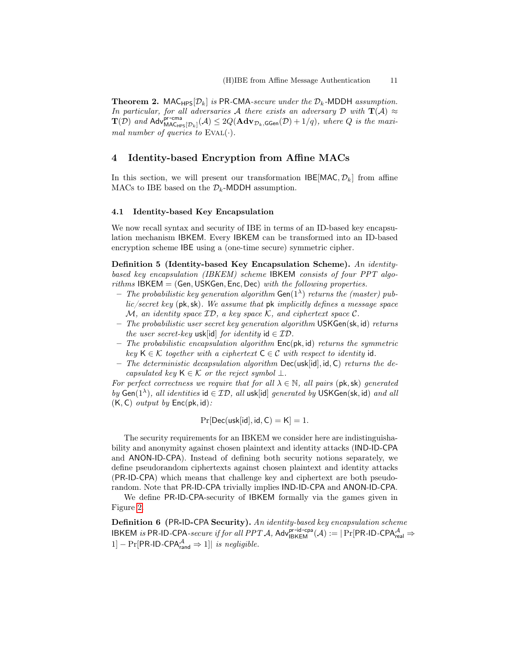**Theorem 2.** MAC $_{\text{HPS}}[\mathcal{D}_k]$  is PR-CMA-secure under the  $\mathcal{D}_k$ -MDDH assumption. In particular, for all adversaries A there exists an adversary D with  $\mathbf{T}(\mathcal{A}) \approx$  $\mathbf{T}(\mathcal{D})$  and  $\mathsf{Adv}_{\mathsf{MAC}_{\mathsf{HPS}}[\mathcal{D}_k]}^{\mathsf{pr-cma}}(\mathcal{A}) \leq 2Q(\mathbf{Adv}_{\mathcal{D}_k,\mathsf{GGen}}(\mathcal{D}) + 1/q)$ , where Q is the maximal number of queries to  $EVAL(·)$ .

# <span id="page-10-0"></span>4 Identity-based Encryption from Affine MACs

In this section, we will present our transformation  $\text{IBE}[\text{MAC}, \mathcal{D}_k]$  from affine MACs to IBE based on the  $\mathcal{D}_k$ -MDDH assumption.

#### 4.1 Identity-based Key Encapsulation

We now recall syntax and security of IBE in terms of an ID-based key encapsulation mechanism IBKEM. Every IBKEM can be transformed into an ID-based encryption scheme IBE using a (one-time secure) symmetric cipher.

Definition 5 (Identity-based Key Encapsulation Scheme). An identitybased key encapsulation (IBKEM) scheme IBKEM consists of four PPT algorithms  $IBKEM = (Gen, USKGen, Enc, Dec)$  with the following properties.

- The probabilistic key generation algorithm  $Gen(1^{\lambda})$  returns the (master) public/secret key (pk,sk). We assume that pk implicitly defines a message space  $M$ , an identity space  $ID$ , a key space  $K$ , and ciphertext space  $C$ .
- The probabilistic user secret key generation algorithm USKGen(sk, id) returns the user secret-key usk[id] for identity id  $\in \mathcal{ID}$ .
- $-$  The probabilistic encapsulation algorithm  $Enc(pk, id)$  returns the symmetric key  $K \in \mathcal{K}$  together with a ciphertext  $C \in \mathcal{C}$  with respect to identity id.
- The deterministic decapsulation algorithm  $Dec(usk[id], id, C)$  returns the decapsulated key  $\mathsf{K} \in \mathcal{K}$  or the reject symbol  $\bot$ .

For perfect correctness we require that for all  $\lambda \in \mathbb{N}$ , all pairs (pk, sk) generated by Gen( $1^{\lambda}$ ), all identities id  $\in$  ID, all usk[id] generated by USKGen(sk, id) and all  $(K, C)$  *output by*  $Enc(\mathsf{pk}, \mathsf{id})$ :

 $Pr[Dec(usklid], id, C) = K] = 1.$ 

The security requirements for an IBKEM we consider here are indistinguishability and anonymity against chosen plaintext and identity attacks (IND-ID-CPA and ANON-ID-CPA). Instead of defining both security notions separately, we define pseudorandom ciphertexts against chosen plaintext and identity attacks (PR-ID-CPA) which means that challenge key and ciphertext are both pseudorandom. Note that PR-ID-CPA trivially implies IND-ID-CPA and ANON-ID-CPA.

We define PR-ID-CPA-security of IBKEM formally via the games given in Figure [2.](#page-11-0)

Definition 6 (PR-ID-CPA Security). An identity-based key encapsulation scheme  $I\subset I$  IBKEM is PR-ID-CPA-secure if for all PPT A, Adv $I_{IBKEM}^{pr-id-cpa}(A) := |Pr[PR-ID-CPA_{real}^A \Rightarrow$  $1] - Pr[PR-ID-CPA_{rand}^{\mathcal{A}} \Rightarrow 1]|$  is negligible.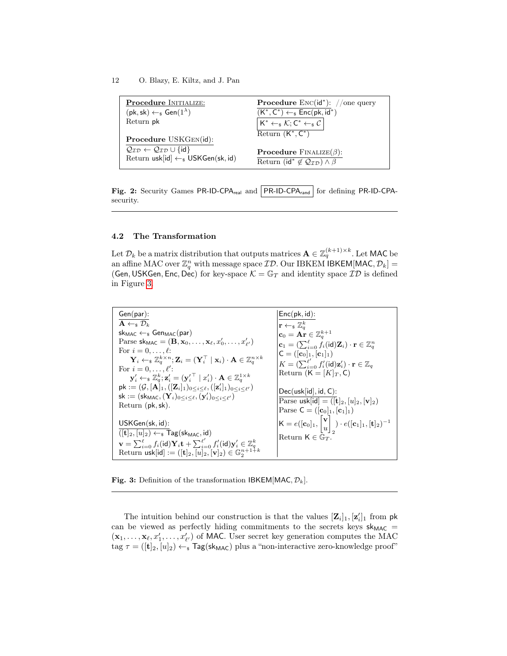<span id="page-11-0"></span>

| <b>Procedure INITIALIZE:</b>                                                                      | <b>Procedure</b> $Enc(id^*)$ : //one query                                                                            |
|---------------------------------------------------------------------------------------------------|-----------------------------------------------------------------------------------------------------------------------|
| $(\mathsf{pk}, \mathsf{sk}) \leftarrow_{\$} \mathsf{Gen}(1^{\lambda})$                            | $(K^*, C^*) \leftarrow_* \textsf{Enc}(\textsf{pk}, \overline{\textsf{id}^*})$                                         |
| Return pk                                                                                         | $  K^* \leftarrow_\$ \mathcal{K}; \mathsf{C}^* \leftarrow_\$ \mathcal{C}  $                                           |
|                                                                                                   | Return $(K^*, C^*)$                                                                                                   |
| Procedure USKGEN(id):                                                                             |                                                                                                                       |
| $Q_{ID} \leftarrow Q_{ID} \cup \{id\}$<br>Return usk[id] $\leftarrow$ <sub>s</sub> USKGen(sk, id) | <b>Procedure</b> FINALIZE( $\beta$ ):<br>Return (id <sup>*</sup> $\notin \mathcal{Q}_{\mathcal{ID}}$ ) $\wedge \beta$ |

Fig. 2: Security Games PR-ID-CPA<sub>real</sub> and PR-ID-CPA<sub>rand</sub> for defining PR-ID-CPAsecurity.

# 4.2 The Transformation

Let  $\mathcal{D}_k$  be a matrix distribution that outputs matrices  $\mathbf{A}\in\mathbb{Z}_q^{(k+1)\times k}.$  Let MAC be an affine MAC over  $\mathbb{Z}_q^n$  with message space  $\mathcal{ID}.$  Our IBKEM IBKEM[MAC,  $\mathcal{D}_k] =$ (Gen, USKGen, Enc, Dec) for key-space  $\mathcal{K} = \mathbb{G}_T$  and identity space  $\mathcal{ID}$  is defined in Figure [3.](#page-11-1)

<span id="page-11-1"></span>Gen(par):  $\overline{\mathbf{A} \leftarrow_s \mathcal{D}_k}$  $sk_{MAC} \leftarrow s$  Gen $_{MAC}(par)$ Parse  $\mathsf{sk}_\mathsf{MAC} = (\mathbf{B}, \mathbf{x}_0, \dots, \mathbf{x}_\ell, x'_0, \dots, x'_{\ell'})$ For  $i = 0, \ldots, \ell$ :  $\mathbf{Y}_i \leftarrow_s \mathbb{Z}_q^{k \times n}; \mathbf{Z}_i = (\mathbf{Y}_i^\top \mid \mathbf{x}_i) \cdot \mathbf{A} \in \mathbb{Z}_q^{n \times k}$ <br>For  $i = 0, \dots, \ell'$ :  $\mathbf{y}_i' \leftarrow_\$ \mathbb{Z}_q^k; \mathbf{z}_i' = {({\mathbf{y}_i'}^\top \mid x_i')} \cdot \mathbf{A} \in \mathbb{Z}_q^{1 \times k}$  $\mathsf{pk} := (\mathcal{G}, [\mathbf{A}]_1, ([\mathbf{Z}_i]_1)_{0 \leq i \leq \ell}, ([\mathbf{z}_i^\prime]_1)_{0 \leq i \leq \ell^\prime})$  $\mathsf{sk} := (\mathsf{sk}_{\mathsf{MAC}}, (\mathbf{Y}_i)_{0 \leq i \leq \ell}, (\mathbf{y}'_i)_{0 \leq i \leq \ell'})$ Return (pk,sk). USKGen(sk, id):  $([\mathbf{t}]_2,[u]_2) \leftarrow_{\$} \mathsf{Tag}(\mathsf{sk}_{\mathsf{MAC}},\mathsf{id})$  $\mathbf{v} = \sum_{i=0}^\ell f_i(\mathsf{id}) \mathbf{Y}_i \mathbf{t} + \sum_{i=0}^{\ell'} f'_i(\mathsf{id}) \mathbf{y}_i' \in \mathbb{Z}_q^k \ \text{Return usk}[\mathsf{id}] := ([\mathbf{t}]_2, [u]_2, [\mathbf{v}]_2) \in \mathbb{G}_2^{n+1+k}$  $Enc(pk, id)$ :  $\begin{array}{l} \mathbf{r} \leftarrow_{\mathbf{s}} \mathbb{Z}_q^k \ \mathbf{c}_0 = \mathbf{A} \mathbf{r} \in \mathbb{Z}_q^{k+1} \ \mathbf{c}_1 = (\sum_{i=0}^\ell f_i(\mathrm{id}) \mathbf{Z}_i) \cdot \mathbf{r} \in \mathbb{Z}_q^n \ \mathsf{C} = ([\mathbf{c}_0]_1, [\mathbf{c}_1]_1) \end{array}$  $K = (\sum_{i=0}^{\ell'} f'_i(\operatorname{\sf id}) \mathbf{z}'_i) \cdot \mathbf{r} \in \mathbb{Z}_q$ Return  $(K = [K]_T, C)$ Dec(usk[id], id, C): Parse usk[id] =  $([\mathbf{t}]_2,[u]_2,[\mathbf{v}]_2)$ Parse  $C = ([c_0]_1, [c_1]_1)$  $\mathsf{K}=e([\mathbf{c}_0]_1,\begin{bmatrix} \mathbf{v} \ \mathbf{c} \end{bmatrix}$ u 1 2  $) \cdot e([{\bf c}_{1}]_1, [{\bf t}]_2)^{-1}$ Return  $\mathsf{K}\in\bar{\mathbb{G}}_T$ 

**Fig. 3:** Definition of the transformation IBKEM[MAC,  $\mathcal{D}_k$ ].

The intuition behind our construction is that the values  $[\mathbf{Z}_i]_1$ ,  $[\mathbf{z}_i']_1$  from pk can be viewed as perfectly hiding commitments to the secrets keys  $sk_{MAC}$  =  $(\mathbf{x}_1, \ldots, \mathbf{x}_\ell, x'_1, \ldots, x'_{\ell'})$  of MAC. User secret key generation computes the MAC  $\text{tag } \tau = ([\mathbf{t}]_2, [u]_2) \leftarrow \mathbb{I}$  Tag(sk<sub>MAC</sub>) plus a "non-interactive zero-knowledge proof"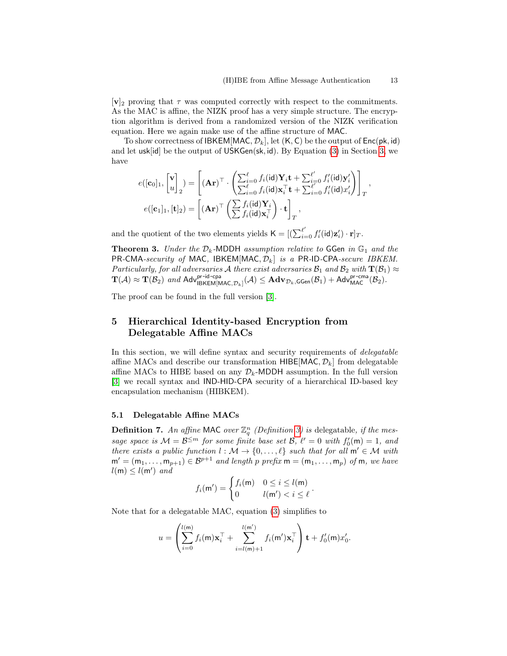$|{\bf v}|_2$  proving that  $\tau$  was computed correctly with respect to the commitments. As the MAC is affine, the NIZK proof has a very simple structure. The encryption algorithm is derived from a randomized version of the NIZK verification equation. Here we again make use of the affine structure of MAC.

To show correctness of IBKEM[MAC,  $\mathcal{D}_k$ ], let  $(K, C)$  be the output of Enc(pk, id) and let usk[id] be the output of USKGen(sk, id). By Equation [\(3\)](#page-7-0) in Section [3,](#page-7-1) we have

$$
e([\mathbf{c}_0]_1, \begin{bmatrix} \mathbf{v} \\ u \end{bmatrix}_2) = \left[ (\mathbf{A}\mathbf{r})^\top \cdot \left( \frac{\sum_{i=0}^\ell f_i(\mathsf{id}) \mathbf{Y}_i \mathbf{t} + \sum_{i=0}^{\ell'} f'_i(\mathsf{id}) \mathbf{y}'_i}{\sum_{i=0}^\ell f_i(\mathsf{id}) \mathbf{x}_i^\top \mathbf{t} + \sum_{i=0}^{\ell'} f'_i(\mathsf{id}) x'_i} \right) \right]_T,
$$
  

$$
e([\mathbf{c}_1]_1, [\mathbf{t}]_2) = \left[ (\mathbf{A}\mathbf{r})^\top \left( \frac{\sum f_i(\mathsf{id}) \mathbf{Y}_i}{\sum f_i(\mathsf{id}) \mathbf{x}_i^\top} \right) \cdot \mathbf{t} \right]_T,
$$

and the quotient of the two elements yields  $\mathsf{K} = [(\sum_{i=0}^{\ell'} f'_i(\mathsf{id}) \mathbf{z}'_i) \cdot \mathbf{r}]_T$ .

**Theorem 3.** Under the  $D_k$ -MDDH assumption relative to GGen in  $\mathbb{G}_1$  and the PR-CMA-security of MAC, IBKEM[MAC,  $\mathcal{D}_k$ ] is a PR-ID-CPA-secure IBKEM. Particularly, for all adversaries A there exist adversaries  $\mathcal{B}_1$  and  $\mathcal{B}_2$  with  $\mathbf{T}(\mathcal{B}_1)\approx$  $\mathbf{T}(\mathcal{A}) \approx \mathbf{T}(\mathcal{B}_2)$  and  $\mathsf{Adv}_{\mathsf{IBKEM[MAC}, \mathcal{D}_k]}(\mathcal{A}) \leq \mathbf{Adv}_{\mathcal{D}_k, \mathsf{GGen}}(\mathcal{B}_1) + \mathsf{Adv}_{\mathsf{MAC}}^{\mathsf{pr-cma}}(\mathcal{B}_2).$ 

The proof can be found in the full version [\[3\]](#page-16-7).

# <span id="page-12-1"></span>5 Hierarchical Identity-based Encryption from Delegatable Affine MACs

In this section, we will define syntax and security requirements of *delegatable* affine MACs and describe our transformation  $HIBE[MAC, \mathcal{D}_k]$  from delegatable affine MACs to HIBE based on any  $\mathcal{D}_k$ -MDDH assumption. In the full version [\[3\]](#page-16-7) we recall syntax and IND-HID-CPA security of a hierarchical ID-based key encapsulation mechanism (HIBKEM).

## <span id="page-12-0"></span>5.1 Delegatable Affine MACs

**Definition 7.** An affine MAC over  $\mathbb{Z}_q^n$  (Definition [3\)](#page-7-2) is delegatable, if the message space is  $\mathcal{M} = \mathcal{B}^{\leq m}$  for some finite base set  $\mathcal{B}, \ell' = 0$  with  $f'_0(\mathsf{m}) = 1$ , and there exists a public function  $l : \mathcal{M} \to \{0, \ldots, \ell\}$  such that for all  $m' \in \mathcal{M}$  with  $m' = (m_1, \ldots, m_{n+1}) \in \mathcal{B}^{p+1}$  and length p prefix  $m = (m_1, \ldots, m_p)$  of m, we have  $l(m) \leq l(m')$  and

$$
f_i(\mathsf{m}') = \begin{cases} f_i(\mathsf{m}) & 0 \le i \le l(\mathsf{m}) \\ 0 & l(\mathsf{m}') < i \le \ell \end{cases}
$$

.

Note that for a delegatable MAC, equation [\(3\)](#page-7-0) simplifies to

$$
u = \left(\sum_{i=0}^{l(m)} f_i(m) \mathbf{x}_i^{\top} + \sum_{i=l(m)+1}^{l(m')} f_i(m') \mathbf{x}_i^{\top}\right) \mathbf{t} + f'_0(m) x'_0.
$$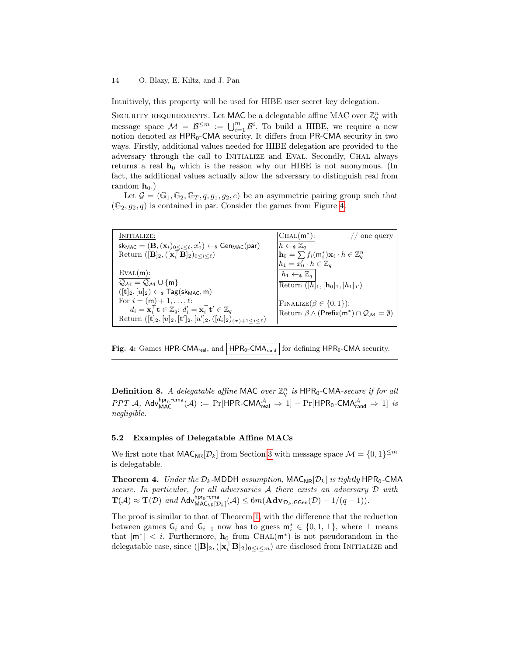Intuitively, this property will be used for HIBE user secret key delegation.

SECURITY REQUIREMENTS. Let MAC be a delegatable affine MAC over  $\mathbb{Z}_q^n$  with message space  $\mathcal{M} = \mathcal{B}^{\leq m} := \bigcup_{i=1}^{m} \mathcal{B}^i$ . To build a HIBE, we require a new notion denoted as  $\text{HPR}_0\text{-CMA}$  security. It differs from PR-CMA security in two ways. Firstly, additional values needed for HIBE delegation are provided to the adversary through the call to Initialize and Eval. Secondly, Chal always returns a real  $h_0$  which is the reason why our HIBE is not anonymous. (In fact, the additional values actually allow the adversary to distinguish real from random  $\mathbf{h}_0$ .)

Let  $\mathcal{G} = (\mathbb{G}_1, \mathbb{G}_2, \mathbb{G}_T, q, g_1, g_2, e)$  be an asymmetric pairing group such that  $(\mathbb{G}_2, g_2, q)$  is contained in par. Consider the games from Figure [4.](#page-13-0)

<span id="page-13-0"></span>

| INITIALIZE:                                                                                                                                            | $ CHAL(m^*)$ :<br>one query                                                            |
|--------------------------------------------------------------------------------------------------------------------------------------------------------|----------------------------------------------------------------------------------------|
| $\mathsf{sk}_{\mathsf{MAC}} = (\mathbf{B}, (\mathbf{x}_i)_{0 \leq i \leq \ell}, x'_0) \leftarrow \mathsf{s} \mathsf{Gen}_{\mathsf{MAC}}(\mathsf{par})$ | $h \leftarrow_s \mathbb{Z}_q$                                                          |
| Return $\left([{\bf B}]_2, ([{\bf x}_i^\top {\bf B}]_2)_{0 \leq i \leq \ell}\right)$                                                                   | $\mathbf{h}_0 = \sum f_i(\mathsf{m}_i^*) \mathbf{x}_i \cdot h \in \mathbb{Z}_q^n$      |
|                                                                                                                                                        | $h_1 = x'_0 \cdot h \in \mathbb{Z}_q$                                                  |
| EVAL(m):                                                                                                                                               | $h_1 \leftarrow_s \mathbb{Z}_q$                                                        |
| $Q_{\mathcal{M}} = Q_{\mathcal{M}} \cup \{m\}$                                                                                                         | Return $([h]_1, [h_0]_1, [h_1]_T)$                                                     |
| $([t]_2,[u]_2)\leftarrow_{\$} Tag(\text{sk}_{MAC},m)$                                                                                                  |                                                                                        |
| For $i = (m) + 1, , \ell$ :                                                                                                                            | $\text{FINALIZE}(\beta \in \{0, 1\})$ :                                                |
| $d_i = \mathbf{x}_i^{\top} \mathbf{t} \in \mathbb{Z}_q$ ; $d'_i = \mathbf{x}_i^{\top} \mathbf{t}' \in \mathbb{Z}_q$                                    | Return $\beta \wedge (\text{Prefix}(m^*)) \cap \mathcal{Q}_{\mathcal{M}} = \emptyset)$ |
| Return $([t]_2, [u]_2, [t']_2, [u']_2, ([d_i]_2)_{(m)+1 \leq i \leq \ell})$                                                                            |                                                                                        |

Fig. 4: Games HPR-CMA<sub>real</sub>, and | HPR<sub>0</sub>-CMA<sub>rand</sub> | for defining HPR<sub>0</sub>-CMA security.

**Definition 8.** A delegatable affine MAC over  $\mathbb{Z}_q^n$  is HPR<sub>0</sub>-CMA-secure if for all  $PPT \mathcal{A}$ ,  $Adv_{MAC}^{hpr_0-cma}(\mathcal{A}) := Pr[HPR-CMA_{real}^{\mathcal{A}} \Rightarrow 1] - Pr[HPR_0-CMA_{rand}^{\mathcal{A}} \Rightarrow 1]$  is negligible.

# 5.2 Examples of Delegatable Affine MACs

<span id="page-13-1"></span>We first note that  $\mathsf{MAC}_{\mathsf{NR}}[\mathcal{D}_k]$  from Section [3](#page-7-1) with message space  $\mathcal{M} = \{0, 1\}^{\leq m}$ is delegatable.

**Theorem 4.** Under the  $D_k$ -MDDH assumption,  $MAC_{NR}[\mathcal{D}_k]$  is tightly HPR<sub>0</sub>-CMA secure. In particular, for all adversaries A there exists an adversary D with  $\mathbf{T}(\mathcal{A}) \approx \mathbf{T}(\mathcal{D})$  and Adv<sup>hpr<sub>0</sub>-cma</sup>  $\max_{\mathsf{MAC}_{\mathsf{NR}}[\mathcal{D}_k]}(\mathcal{A}) \leq 6m(\mathbf{Adv}_{\mathcal{D}_k,\mathsf{GGen}}(\mathcal{D}) - 1/(q-1)).$ 

The proof is similar to that of Theorem [1,](#page-9-0) with the difference that the reduction between games  $\mathsf{G}_i$  and  $\mathsf{G}_{i-1}$  now has to guess  $\mathsf{m}_i^* \in \{0,1,\perp\}$ , where  $\perp$  means that  $|m^*| < i$ . Furthermore,  $h_0$  from CHAL $(m^*)$  is not pseudorandom in the delegatable case, since  $([\mathbf{B}]_2,([\mathbf{x}_i^{\top} \mathbf{B}]_2)_{0\leq i\leq m})$  are disclosed from INITIALIZE and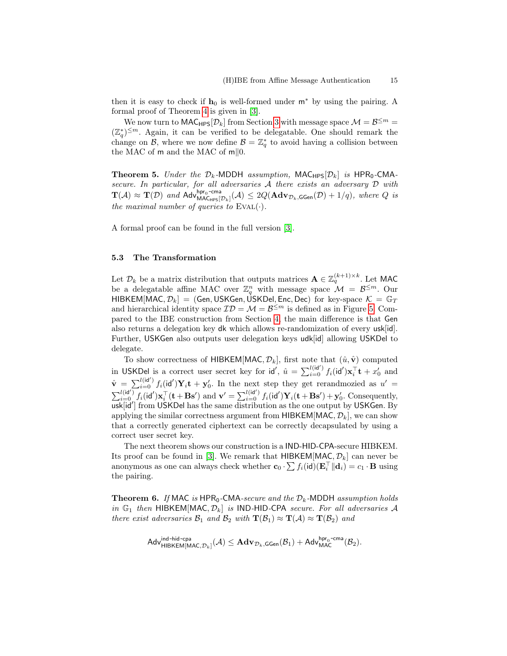then it is easy to check if  $h_0$  is well-formed under  $m^*$  by using the pairing. A formal proof of Theorem [4](#page-13-1) is given in [\[3\]](#page-16-7).

We now turn to  $\mathsf{MAC}_{\mathsf{HPS}}[\mathcal{D}_k]$  from Section [3](#page-7-1) with message space  $\mathcal{M} = \mathcal{B}^{\leq m} =$  $(\mathbb{Z}_{q}^{*})^{\leq m}$ . Again, it can be verified to be delegatable. One should remark the change on  $\mathcal{B}$ , where we now define  $\mathcal{B} = \mathbb{Z}_q^*$  to avoid having a collision between the MAC of  $m$  and the MAC of  $m||0$ .

**Theorem 5.** Under the  $\mathcal{D}_k$ -MDDH assumption, MAC<sub>HPS</sub> $[\mathcal{D}_k]$  is HPR<sub>0</sub>-CMAsecure. In particular, for all adversaries A there exists an adversary D with  $\mathbf{T}(\mathcal{A}) \approx \mathbf{T}(\mathcal{D})$  and Adv<sub>MACupe</sub>  $\mathsf{MAC}_{\mathsf{HPS}}[\mathcal{D}_k]({\mathcal A}) \leq 2 Q(\mathbf{Adv}_{\mathcal{D}_k,\mathsf{GGen}}(\mathcal{D})+1/q), \textit{ where } Q \textit{ is } \mathsf{MAC}_{\mathsf{HPS}}[\mathcal{D}_k]$ the maximal number of queries to  $EVAL(·)$ .

A formal proof can be found in the full version [\[3\]](#page-16-7).

#### <span id="page-14-0"></span>5.3 The Transformation

Let  $\mathcal{D}_k$  be a matrix distribution that outputs matrices  $\mathbf{A} \in \mathbb{Z}_q^{(k+1)\times k}$ . Let MAC be a delegatable affine MAC over  $\mathbb{Z}_q^n$  with message space  $\mathcal{M} = \mathcal{B}^{\leq m}$ . Our HIBKEM[MAC,  $\mathcal{D}_k$ ] = (Gen, USKGen, USKDel, Enc, Dec) for key-space  $\mathcal{K} = \mathbb{G}_T$ and hierarchical identity space  $\mathcal{ID} = \mathcal{M} = \mathcal{B}^{\leq m}$  is defined as in Figure [5.](#page-15-0) Compared to the IBE construction from Section [4,](#page-10-0) the main difference is that Gen also returns a delegation key dk which allows re-randomization of every usk[id]. Further, USKGen also outputs user delegation keys udk[id] allowing USKDel to delegate.

To show correctness of HIBKEM[MAC,  $\mathcal{D}_k$ ], first note that  $(\hat{u}, \hat{v})$  computed in USKDel is a correct user secret key for  $\mathsf{id}'$ ,  $\hat{u} = \sum_{i=0}^{l(\mathsf{id}')} f_i(\mathsf{id}') \mathbf{x}_i^{\top} \mathbf{t} + x'_0$  and  $\hat{\mathbf{v}} = \sum_{i=0}^{l(id')} f_i(\mathbf{id}') \mathbf{Y}_i \mathbf{t} + \mathbf{y}'_0$ . In the next step they get rerandmozied as  $u' =$  $\sum_{i=0}^{l(\mathbf{id}')} f_i(\mathbf{id}') \mathbf{x}_i^{\top}(\mathbf{t} + \mathbf{B}\mathbf{s}')$  and  $\mathbf{v}' = \sum_{i=0}^{l(\mathbf{id}')} f_i(\mathbf{id}') \mathbf{Y}_i(\mathbf{t} + \mathbf{B}\mathbf{s}') + \mathbf{y}'_0$ . Consequently, usk[id'] from USKDel has the same distribution as the one output by USKGen. By applying the similar correctness argument from HIBKEM[MAC,  $\mathcal{D}_k$ ], we can show that a correctly generated ciphertext can be correctly decapsulated by using a correct user secret key.

The next theorem shows our construction is a IND-HID-CPA-secure HIBKEM. Its proof can be found in [\[3\]](#page-16-7). We remark that  $HIBKEM[MAC, \mathcal{D}_k]$  can never be anonymous as one can always check whether  $\mathbf{c}_0 \cdot \sum f_i(\mathsf{id})(\mathbf{E}_i^{\top}||\mathbf{d}_i) = c_1 \cdot \mathbf{B}$  using the pairing.

**Theorem 6.** If MAC is HPR<sub>0</sub>-CMA-secure and the  $D_k$ -MDDH assumption holds in  $\mathbb{G}_1$  then HIBKEM[MAC,  $\mathcal{D}_k$ ] is IND-HID-CPA secure. For all adversaries A there exist adversaries  $\mathcal{B}_1$  and  $\mathcal{B}_2$  with  $\mathbf{T}(\mathcal{B}_1) \approx \mathbf{T}(\mathcal{A}) \approx \mathbf{T}(\mathcal{B}_2)$  and

$$
\mathsf{Adv}_{\mathsf{HIBKEM}[\mathsf{MAC}, \mathcal{D}_k]}^{\mathsf{ind}\text{-}\mathsf{hid}\text{-}\mathsf{cpa}}(\mathcal{A}) \leq \mathbf{Adv}_{\mathcal{D}_k, \mathsf{GGen}}(\mathcal{B}_1) + \mathsf{Adv}_{\mathsf{MAC}}^{\mathsf{hpr}_0\text{-}\mathsf{cma}}(\mathcal{B}_2).
$$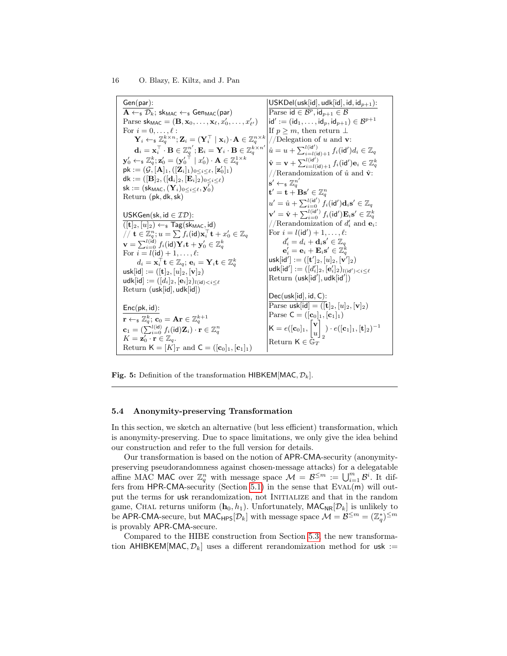<span id="page-15-0"></span>Gen(par):  $A \leftarrow s \mathcal{D}_k$ ; sk<sub>MAC</sub>  $\leftarrow s$  Gen<sub>MAC</sub>(par) Parse  $\mathsf{sk}_\mathsf{MAC} = (\mathbf{B}, \mathbf{x}_0, \dots, \mathbf{x}_\ell, x'_0, \dots, x'_{\ell'})$ For  $i = 0, \ldots, \ell$ :  $\mathbf{Y}_i \leftarrow_\$ \mathbb{Z}_q^{k \times n}; \mathbf{Z}_i = (\mathbf{Y}_i^\top \mid \mathbf{x}_i) \!\cdot\! \mathbf{A} \in \mathbb{Z}_q^{n \times k}$  $\mathbf{d}_i = \mathbf{x}_i^\top \cdot \mathbf{B} \in \mathbb{Z}_q^{n'}; \mathbf{E}_i = \mathbf{Y}_i \cdot \mathbf{B} \in \mathbb{Z}_q^{k \times n'}$  $\mathbf{y}_0' \leftarrow_{\mathbf{s}} \mathbb{Z}_q^k; \mathbf{z}_0' = (\mathbf{y}_0'^\top \mid x_0') \cdot \mathbf{A} \in \mathbb{Z}_q^{1 \times k} \ \mathsf{pk} := (\mathcal{G}, [\mathbf{A}]_1, ([\mathbf{Z}_i]_1)_{0 \leq i \leq \ell}, [\mathbf{z}_0']_1)$  $dk := ( [\mathbf{B}]_2, ([\mathbf{d}_i]_2, [\mathbf{E}_i]_2)_{0 \leq i \leq \ell})$  $\mathsf{sk} := (\mathsf{sk}_{\mathsf{MAC}}, (\mathbf{Y}_i)_{0 \leq i \leq \ell}, \mathbf{y}_0^{\prime})$ Return (pk, dk,sk) USKGen(sk, id  $\in \mathcal{ID}$ ):  $([{\bf t}]_2,[u]_2)\overline{\leftarrow_{\$} \mathsf{Tag}(\mathsf{sk}_{\mathsf{MAC}},\mathsf{id})}$  $\mathcal{L}/\mathcal{N} \mathbf{t} \in \mathbb{Z}_q^n; u = \sum f_i(\mathsf{id}) \mathbf{x}_i^\top \mathbf{t} + x_0' \in \mathbb{Z}_q$  $\mathbf{v} = \sum_{i=0}^{l(\mathrm{id})} f_i(\mathrm{id}) \mathbf{Y}_i \mathbf{t} + \mathbf{y}_0' \in \mathbb{Z}_q^k$ For  $i = l(\text{id}) + 1, \ldots, \ell$ :  $d_i = \mathbf{x}_i^\top \mathbf{t} \in \mathbb{Z}_q; \, \mathbf{e}_i = \mathbf{Y}_i \mathbf{t} \in \mathbb{Z}_q^k$  $\textsf{usk}[\textsf{id}] := ([\textbf{t}]_2, [u]_2, [\textbf{v}]_2)$ udk[id]  $:= ([d_i]_2, [\mathbf{e}_i]_2)_{l(\mathsf{id}) < i < \ell}$ Return (usk[id], udk[id]) Enc(pk, id):  $\mathbf{r} \leftarrow_{\mathbf{s}} \mathbb{Z}_q^k; \ \mathbf{c}_0 = \mathbf{Ar} \in \mathbb{Z}_q^{k+1} \ \mathbf{c}_1 = (\sum_{i=0}^{l(\mathsf{id})} f_i(\mathsf{id}) \mathbf{Z}_i) \cdot \mathbf{r} \in \mathbb{Z}_q^n$  $K = \mathbf{z}_0' \cdot \mathbf{r} \in \mathbb{Z}_q.$ Return  $\mathsf{K} = [K]_T$  and  $\mathsf{C} = ([\mathbf{c}_0]_1, [\mathbf{c}_1]_1)$  $USKDel(usk[id], udk[id], id, id_{p+1})$ : Parse id  $\in \mathcal{B}^p,$  id $_{p+1} \in \mathcal{B}$  $\mathsf{id}':=(\mathsf{id}_1,\ldots,\mathsf{id}_p,\mathsf{id}_{p+1})\in\mathcal{B}^{p+1}$ If  $p \geq m$ , then return  $\perp$ //Delegation of u and  $v$ :  $\hat{u} = u + \sum_{i=l(\mathsf{id})+1}^{l(\mathsf{id}')} f_i(\mathsf{id}') d_i \in \mathbb{Z}_q$  $\hat{\mathbf{v}} = \mathbf{v} + \sum_{i=l(\mathsf{id})+1}^{l(\mathsf{id}')} f_i(\mathsf{id}') \mathbf{e}_i \in \mathbb{Z}_q^k$ //Rerandomization of  $\hat{u}$  and  $\hat{\mathbf{v}}$ :  $\mathbf{s}' \leftarrow_{\$} \mathbb{Z}_q^{n'}$  $\mathbf{t}' = \mathbf{t} + \mathbf{B}\mathbf{s}' \in \mathbb{Z}_q^n$  $u' = \hat{u} + \sum_{i=0}^{l(\mathsf{id}')} f_i(\mathsf{id}')\mathbf{d}_i\mathbf{s}' \in \mathbb{Z}_q$  $\mathbf{v}'=\hat{\mathbf{v}} + \sum_{i=0}^{l(\mathrm{i}\mathbf{d}')}f_i(\mathrm{i}\mathbf{d}')\mathbf{E}_i\mathbf{s}'\in\mathbb{Z}_q^k$ //Rerandomization of  $d'_i$  and  $\mathbf{e}_i$ : For  $i = l(\text{id}') + 1, \ldots, \ell$ :  $d_i' = d_i + \mathbf{d}_i \mathbf{s}' \in \mathbb{Z}_q$  $\mathbf{e}_i'=\mathbf{e}_i+\mathbf{E}_i\mathbf{s}'\in\mathbb{Z}_q^k$  $\mathsf{usk}[\mathsf{id}'] := ([\mathbf{t}']_2, [u]_2, [\mathbf{v}']_2)$  $\mathsf{udk}[\mathsf{id}'] := ([d_i']_2, [\mathbf{e}_i']_2)_{l(\mathsf{id}') < i \leq \ell}$  $Return (usk(id'], udk(id'))$  $Dec(usk[id], id, C)$ : Parse usk[id] =  $([\mathbf{t}]_2, [u]_2, [\mathbf{v}]_2)$ Parse  $C = ([c_0]_1, [c_1]_1)$  $\mathsf{K}=e([\mathbf{c}_0]_1, \begin{bmatrix} \mathbf{v} \ \mathbf{v} \end{bmatrix}$ u 1 2 )  $\cdot$   $e([{\bf c}_1]_1,[{\bf t}]_2)^{-1}$ Return  $\mathsf{K}\in\bar{\mathbb{G}}_T$ 

**Fig. 5:** Definition of the transformation HIBKEM[MAC,  $\mathcal{D}_k$ ].

## 5.4 Anonymity-preserving Transformation

In this section, we sketch an alternative (but less efficient) transformation, which is anonymity-preserving. Due to space limitations, we only give the idea behind our construction and refer to the full version for details.

Our transformation is based on the notion of APR-CMA-security (anonymitypreserving pseudorandomness against chosen-message attacks) for a delegatable affine MAC MAC over  $\mathbb{Z}_q^n$  with message space  $\mathcal{M} = \mathcal{B}^{\leq m} := \bigcup_{i=1}^m \mathcal{B}^i$ . It dif-fers from HPR-CMA-security (Section [5.1\)](#page-12-0) in the sense that  $EVAL(m)$  will output the terms for usk rerandomization, not INITIALIZE and that in the random game, CHAL returns uniform  $(h_0, h_1)$ . Unfortunately, MAC<sub>NR</sub>[ $\mathcal{D}_k$ ] is unlikely to be APR-CMA-secure, but  $MAC_{HPS}[\mathcal{D}_k]$  with message space  $\mathcal{M} = \mathcal{B}^{\leq m} = (\mathbb{Z}_q^*)^{\leq m}$ is provably APR-CMA-secure.

Compared to the HIBE construction from Section [5.3,](#page-14-0) the new transformation AHIBKEM[MAC,  $\mathcal{D}_k$ ] uses a different rerandomization method for usk :=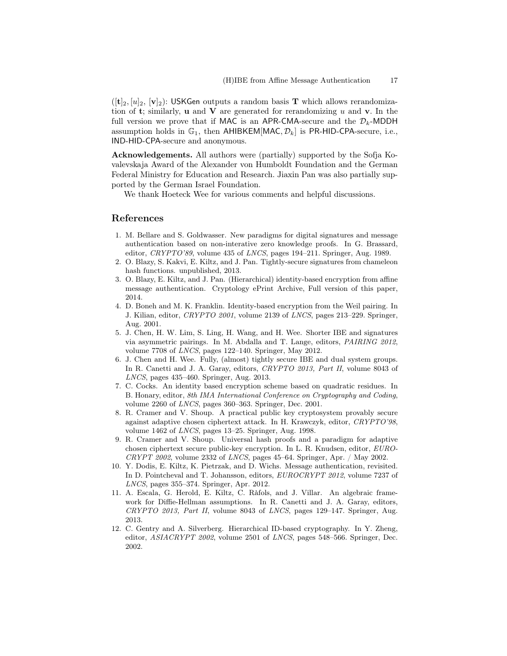$(|{\bf t}|_2, |{\bf u}|_2, |{\bf v}|_2)$ : USKGen outputs a random basis **T** which allows rerandomization of t; similarly, **u** and **V** are generated for rerandomizing  $u$  and **v**. In the full version we prove that if MAC is an APR-CMA-secure and the  $\mathcal{D}_k$ -MDDH assumption holds in  $\mathbb{G}_1$ , then AHIBKEM[MAC,  $\mathcal{D}_k$ ] is PR-HID-CPA-secure, i.e., IND-HID-CPA-secure and anonymous.

Acknowledgements. All authors were (partially) supported by the Sofja Kovalevskaja Award of the Alexander von Humboldt Foundation and the German Federal Ministry for Education and Research. Jiaxin Pan was also partially supported by the German Israel Foundation.

We thank Hoeteck Wee for various comments and helpful discussions.

# References

- <span id="page-16-4"></span>1. M. Bellare and S. Goldwasser. New paradigms for digital signatures and message authentication based on non-interative zero knowledge proofs. In G. Brassard, editor, CRYPTO'89, volume 435 of LNCS, pages 194–211. Springer, Aug. 1989.
- <span id="page-16-9"></span>2. O. Blazy, S. Kakvi, E. Kiltz, and J. Pan. Tightly-secure signatures from chameleon hash functions. unpublished, 2013.
- <span id="page-16-7"></span>3. O. Blazy, E. Kiltz, and J. Pan. (Hierarchical) identity-based encryption from affine message authentication. Cryptology ePrint Archive, Full version of this paper, 2014.
- <span id="page-16-1"></span>4. D. Boneh and M. K. Franklin. Identity-based encryption from the Weil pairing. In J. Kilian, editor, CRYPTO 2001, volume 2139 of LNCS, pages 213–229. Springer, Aug. 2001.
- <span id="page-16-10"></span>5. J. Chen, H. W. Lim, S. Ling, H. Wang, and H. Wee. Shorter IBE and signatures via asymmetric pairings. In M. Abdalla and T. Lange, editors, PAIRING 2012, volume 7708 of LNCS, pages 122–140. Springer, May 2012.
- <span id="page-16-2"></span>6. J. Chen and H. Wee. Fully, (almost) tightly secure IBE and dual system groups. In R. Canetti and J. A. Garay, editors, CRYPTO 2013, Part II, volume 8043 of LNCS, pages 435–460. Springer, Aug. 2013.
- <span id="page-16-0"></span>7. C. Cocks. An identity based encryption scheme based on quadratic residues. In B. Honary, editor, 8th IMA International Conference on Cryptography and Coding, volume 2260 of LNCS, pages 360–363. Springer, Dec. 2001.
- <span id="page-16-11"></span>8. R. Cramer and V. Shoup. A practical public key cryptosystem provably secure against adaptive chosen ciphertext attack. In H. Krawczyk, editor, CRYPTO'98, volume 1462 of LNCS, pages 13–25. Springer, Aug. 1998.
- <span id="page-16-3"></span>9. R. Cramer and V. Shoup. Universal hash proofs and a paradigm for adaptive chosen ciphertext secure public-key encryption. In L. R. Knudsen, editor, EURO- $CRYPT 2002$ , volume 2332 of *LNCS*, pages 45–64. Springer, Apr. / May 2002.
- <span id="page-16-5"></span>10. Y. Dodis, E. Kiltz, K. Pietrzak, and D. Wichs. Message authentication, revisited. In D. Pointcheval and T. Johansson, editors, EUROCRYPT 2012, volume 7237 of LNCS, pages 355–374. Springer, Apr. 2012.
- <span id="page-16-6"></span>11. A. Escala, G. Herold, E. Kiltz, C. Ràfols, and J. Villar. An algebraic framework for Diffie-Hellman assumptions. In R. Canetti and J. A. Garay, editors, CRYPTO 2013, Part II, volume 8043 of LNCS, pages 129–147. Springer, Aug. 2013.
- <span id="page-16-8"></span>12. C. Gentry and A. Silverberg. Hierarchical ID-based cryptography. In Y. Zheng, editor, ASIACRYPT 2002, volume 2501 of LNCS, pages 548–566. Springer, Dec. 2002.